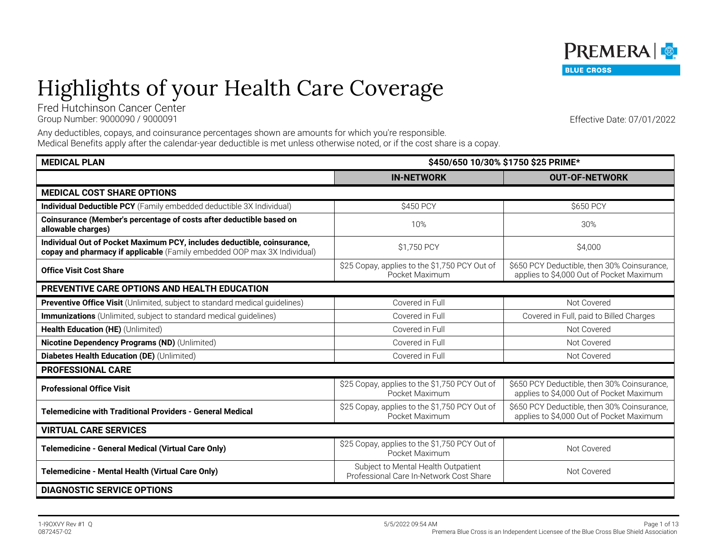## Highlights of your Health Care Coverage Fred Hutchinson Cancer Center

Group Number: 9000090 / 9000091 Effective Date: 07/01/2022

Any deductibles, copays, and coinsurance percentages shown are amounts for which you're responsible. Medical Benefits apply after the calendar-year deductible is met unless otherwise noted, or if the cost share is a copay.

| <b>MEDICAL PLAN</b>                                                                                                                                 | \$450/650 10/30% \$1750 \$25 PRIME*                                            |                                                                                         |
|-----------------------------------------------------------------------------------------------------------------------------------------------------|--------------------------------------------------------------------------------|-----------------------------------------------------------------------------------------|
|                                                                                                                                                     | <b>IN-NETWORK</b>                                                              | <b>OUT-OF-NETWORK</b>                                                                   |
| <b>MEDICAL COST SHARE OPTIONS</b>                                                                                                                   |                                                                                |                                                                                         |
| <b>Individual Deductible PCY</b> (Family embedded deductible 3X Individual)                                                                         | \$450 PCY                                                                      | \$650 PCY                                                                               |
| Coinsurance (Member's percentage of costs after deductible based on<br>allowable charges)                                                           | 10%                                                                            | 30%                                                                                     |
| Individual Out of Pocket Maximum PCY, includes deductible, coinsurance,<br>copay and pharmacy if applicable (Family embedded OOP max 3X Individual) | \$1,750 PCY                                                                    | \$4,000                                                                                 |
| <b>Office Visit Cost Share</b>                                                                                                                      | \$25 Copay, applies to the \$1,750 PCY Out of<br>Pocket Maximum                | \$650 PCY Deductible, then 30% Coinsurance,<br>applies to \$4,000 Out of Pocket Maximum |
| PREVENTIVE CARE OPTIONS AND HEALTH EDUCATION                                                                                                        |                                                                                |                                                                                         |
| Preventive Office Visit (Unlimited, subject to standard medical guidelines)                                                                         | Covered in Full                                                                | Not Covered                                                                             |
| <b>Immunizations</b> (Unlimited, subject to standard medical guidelines)                                                                            | Covered in Full                                                                | Covered in Full, paid to Billed Charges                                                 |
| Health Education (HE) (Unlimited)                                                                                                                   | Covered in Full                                                                | Not Covered                                                                             |
| Nicotine Dependency Programs (ND) (Unlimited)                                                                                                       | Covered in Full                                                                | Not Covered                                                                             |
| Diabetes Health Education (DE) (Unlimited)                                                                                                          | Covered in Full                                                                | Not Covered                                                                             |
| <b>PROFESSIONAL CARE</b>                                                                                                                            |                                                                                |                                                                                         |
| <b>Professional Office Visit</b>                                                                                                                    | \$25 Copay, applies to the \$1,750 PCY Out of<br>Pocket Maximum                | \$650 PCY Deductible, then 30% Coinsurance,<br>applies to \$4,000 Out of Pocket Maximum |
| <b>Telemedicine with Traditional Providers - General Medical</b>                                                                                    | \$25 Copay, applies to the \$1,750 PCY Out of<br>Pocket Maximum                | \$650 PCY Deductible, then 30% Coinsurance,<br>applies to \$4,000 Out of Pocket Maximum |
| <b>VIRTUAL CARE SERVICES</b>                                                                                                                        |                                                                                |                                                                                         |
| Telemedicine - General Medical (Virtual Care Only)                                                                                                  | \$25 Copay, applies to the \$1,750 PCY Out of<br>Pocket Maximum                | Not Covered                                                                             |
| Telemedicine - Mental Health (Virtual Care Only)                                                                                                    | Subject to Mental Health Outpatient<br>Professional Care In-Network Cost Share | Not Covered                                                                             |
| <b>DIAGNOSTIC SERVICE OPTIONS</b>                                                                                                                   |                                                                                |                                                                                         |

### PREMERA & **BLUE CROSS**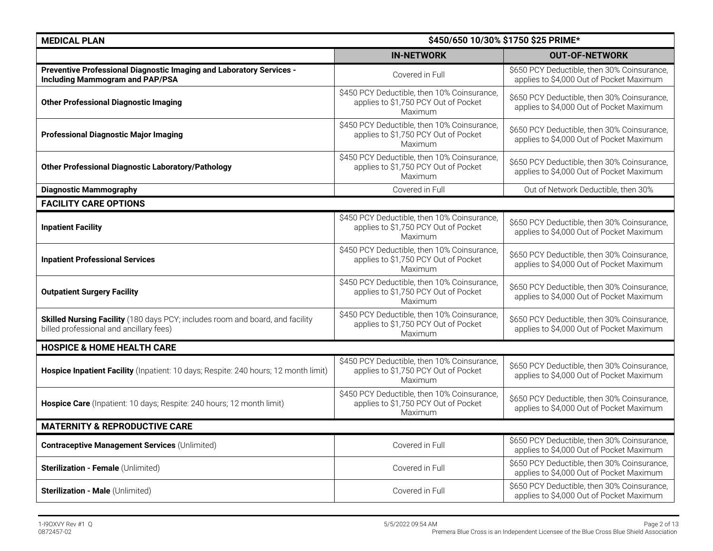| <b>MEDICAL PLAN</b>                                                                                                      | \$450/650 10/30% \$1750 \$25 PRIME*                                                            |                                                                                         |
|--------------------------------------------------------------------------------------------------------------------------|------------------------------------------------------------------------------------------------|-----------------------------------------------------------------------------------------|
|                                                                                                                          | <b>IN-NETWORK</b>                                                                              | <b>OUT-OF-NETWORK</b>                                                                   |
| Preventive Professional Diagnostic Imaging and Laboratory Services -<br><b>Including Mammogram and PAP/PSA</b>           | Covered in Full                                                                                | \$650 PCY Deductible, then 30% Coinsurance,<br>applies to \$4,000 Out of Pocket Maximum |
| <b>Other Professional Diagnostic Imaging</b>                                                                             | \$450 PCY Deductible, then 10% Coinsurance,<br>applies to \$1,750 PCY Out of Pocket<br>Maximum | \$650 PCY Deductible, then 30% Coinsurance,<br>applies to \$4,000 Out of Pocket Maximum |
| <b>Professional Diagnostic Major Imaging</b>                                                                             | \$450 PCY Deductible, then 10% Coinsurance,<br>applies to \$1,750 PCY Out of Pocket<br>Maximum | \$650 PCY Deductible, then 30% Coinsurance,<br>applies to \$4,000 Out of Pocket Maximum |
| <b>Other Professional Diagnostic Laboratory/Pathology</b>                                                                | \$450 PCY Deductible, then 10% Coinsurance,<br>applies to \$1,750 PCY Out of Pocket<br>Maximum | \$650 PCY Deductible, then 30% Coinsurance,<br>applies to \$4,000 Out of Pocket Maximum |
| <b>Diagnostic Mammography</b>                                                                                            | Covered in Full                                                                                | Out of Network Deductible, then 30%                                                     |
| <b>FACILITY CARE OPTIONS</b>                                                                                             |                                                                                                |                                                                                         |
| <b>Inpatient Facility</b>                                                                                                | \$450 PCY Deductible, then 10% Coinsurance,<br>applies to \$1,750 PCY Out of Pocket<br>Maximum | \$650 PCY Deductible, then 30% Coinsurance,<br>applies to \$4,000 Out of Pocket Maximum |
| <b>Inpatient Professional Services</b>                                                                                   | \$450 PCY Deductible, then 10% Coinsurance,<br>applies to \$1,750 PCY Out of Pocket<br>Maximum | \$650 PCY Deductible, then 30% Coinsurance,<br>applies to \$4,000 Out of Pocket Maximum |
| <b>Outpatient Surgery Facility</b>                                                                                       | \$450 PCY Deductible, then 10% Coinsurance,<br>applies to \$1,750 PCY Out of Pocket<br>Maximum | \$650 PCY Deductible, then 30% Coinsurance,<br>applies to \$4,000 Out of Pocket Maximum |
| Skilled Nursing Facility (180 days PCY; includes room and board, and facility<br>billed professional and ancillary fees) | \$450 PCY Deductible, then 10% Coinsurance,<br>applies to \$1,750 PCY Out of Pocket<br>Maximum | \$650 PCY Deductible, then 30% Coinsurance,<br>applies to \$4,000 Out of Pocket Maximum |
| <b>HOSPICE &amp; HOME HEALTH CARE</b>                                                                                    |                                                                                                |                                                                                         |
| Hospice Inpatient Facility (Inpatient: 10 days; Respite: 240 hours; 12 month limit)                                      | \$450 PCY Deductible, then 10% Coinsurance,<br>applies to \$1,750 PCY Out of Pocket<br>Maximum | \$650 PCY Deductible, then 30% Coinsurance,<br>applies to \$4,000 Out of Pocket Maximum |
| Hospice Care (Inpatient: 10 days; Respite: 240 hours; 12 month limit)                                                    | \$450 PCY Deductible, then 10% Coinsurance,<br>applies to \$1,750 PCY Out of Pocket<br>Maximum | \$650 PCY Deductible, then 30% Coinsurance,<br>applies to \$4,000 Out of Pocket Maximum |
| <b>MATERNITY &amp; REPRODUCTIVE CARE</b>                                                                                 |                                                                                                |                                                                                         |
| <b>Contraceptive Management Services (Unlimited)</b>                                                                     | Covered in Full                                                                                | \$650 PCY Deductible, then 30% Coinsurance,<br>applies to \$4,000 Out of Pocket Maximum |
| Sterilization - Female (Unlimited)                                                                                       | Covered in Full                                                                                | \$650 PCY Deductible, then 30% Coinsurance,<br>applies to \$4,000 Out of Pocket Maximum |
| Sterilization - Male (Unlimited)                                                                                         | Covered in Full                                                                                | \$650 PCY Deductible, then 30% Coinsurance,<br>applies to \$4,000 Out of Pocket Maximum |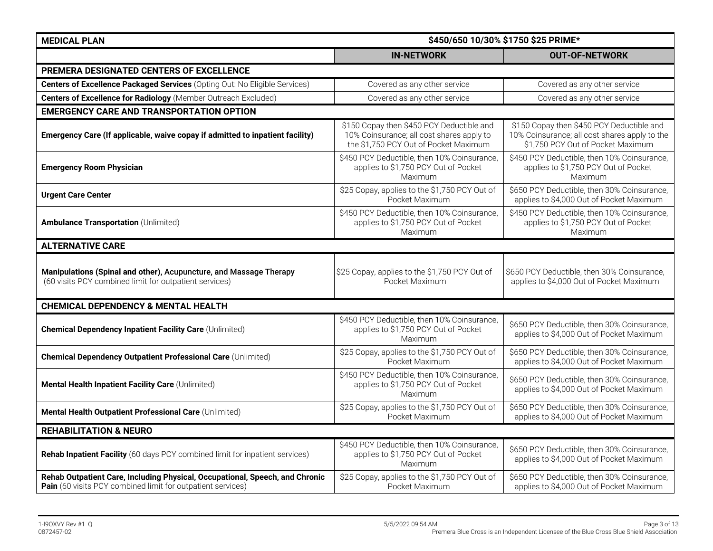| <b>MEDICAL PLAN</b>                                                                                                                         | \$450/650 10/30% \$1750 \$25 PRIME*                                                                                             |                                                                                                                                 |
|---------------------------------------------------------------------------------------------------------------------------------------------|---------------------------------------------------------------------------------------------------------------------------------|---------------------------------------------------------------------------------------------------------------------------------|
|                                                                                                                                             | <b>IN-NETWORK</b>                                                                                                               | <b>OUT-OF-NETWORK</b>                                                                                                           |
| PREMERA DESIGNATED CENTERS OF EXCELLENCE                                                                                                    |                                                                                                                                 |                                                                                                                                 |
| Centers of Excellence Packaged Services (Opting Out: No Eligible Services)                                                                  | Covered as any other service                                                                                                    | Covered as any other service                                                                                                    |
| <b>Centers of Excellence for Radiology</b> (Member Outreach Excluded)                                                                       | Covered as any other service                                                                                                    | Covered as any other service                                                                                                    |
| <b>EMERGENCY CARE AND TRANSPORTATION OPTION</b>                                                                                             |                                                                                                                                 |                                                                                                                                 |
| Emergency Care (If applicable, waive copay if admitted to inpatient facility)                                                               | \$150 Copay then \$450 PCY Deductible and<br>10% Coinsurance; all cost shares apply to<br>the \$1,750 PCY Out of Pocket Maximum | \$150 Copay then \$450 PCY Deductible and<br>10% Coinsurance; all cost shares apply to the<br>\$1,750 PCY Out of Pocket Maximum |
| <b>Emergency Room Physician</b>                                                                                                             | \$450 PCY Deductible, then 10% Coinsurance,<br>applies to \$1,750 PCY Out of Pocket<br>Maximum                                  | \$450 PCY Deductible, then 10% Coinsurance,<br>applies to \$1,750 PCY Out of Pocket<br>Maximum                                  |
| <b>Urgent Care Center</b>                                                                                                                   | \$25 Copay, applies to the \$1,750 PCY Out of<br>Pocket Maximum                                                                 | \$650 PCY Deductible, then 30% Coinsurance,<br>applies to \$4,000 Out of Pocket Maximum                                         |
| <b>Ambulance Transportation (Unlimited)</b>                                                                                                 | \$450 PCY Deductible, then 10% Coinsurance,<br>applies to \$1,750 PCY Out of Pocket<br>Maximum                                  | \$450 PCY Deductible, then 10% Coinsurance,<br>applies to \$1,750 PCY Out of Pocket<br>Maximum                                  |
| <b>ALTERNATIVE CARE</b>                                                                                                                     |                                                                                                                                 |                                                                                                                                 |
| Manipulations (Spinal and other), Acupuncture, and Massage Therapy<br>(60 visits PCY combined limit for outpatient services)                | \$25 Copay, applies to the \$1,750 PCY Out of<br>Pocket Maximum                                                                 | \$650 PCY Deductible, then 30% Coinsurance,<br>applies to \$4,000 Out of Pocket Maximum                                         |
| <b>CHEMICAL DEPENDENCY &amp; MENTAL HEALTH</b>                                                                                              |                                                                                                                                 |                                                                                                                                 |
| <b>Chemical Dependency Inpatient Facility Care (Unlimited)</b>                                                                              | \$450 PCY Deductible, then 10% Coinsurance,<br>applies to \$1,750 PCY Out of Pocket<br>Maximum                                  | \$650 PCY Deductible, then 30% Coinsurance,<br>applies to \$4,000 Out of Pocket Maximum                                         |
| <b>Chemical Dependency Outpatient Professional Care (Unlimited)</b>                                                                         | \$25 Copay, applies to the \$1,750 PCY Out of<br>Pocket Maximum                                                                 | \$650 PCY Deductible, then 30% Coinsurance,<br>applies to \$4,000 Out of Pocket Maximum                                         |
| Mental Health Inpatient Facility Care (Unlimited)                                                                                           | \$450 PCY Deductible, then 10% Coinsurance,<br>applies to \$1,750 PCY Out of Pocket<br>Maximum                                  | \$650 PCY Deductible, then 30% Coinsurance,<br>applies to \$4,000 Out of Pocket Maximum                                         |
| Mental Health Outpatient Professional Care (Unlimited)                                                                                      | \$25 Copay, applies to the \$1,750 PCY Out of<br>Pocket Maximum                                                                 | \$650 PCY Deductible, then 30% Coinsurance,<br>applies to \$4,000 Out of Pocket Maximum                                         |
| <b>REHABILITATION &amp; NEURO</b>                                                                                                           |                                                                                                                                 |                                                                                                                                 |
| Rehab Inpatient Facility (60 days PCY combined limit for inpatient services)                                                                | \$450 PCY Deductible, then 10% Coinsurance,<br>applies to \$1,750 PCY Out of Pocket<br>Maximum                                  | \$650 PCY Deductible, then 30% Coinsurance,<br>applies to \$4,000 Out of Pocket Maximum                                         |
| Rehab Outpatient Care, Including Physical, Occupational, Speech, and Chronic<br>Pain (60 visits PCY combined limit for outpatient services) | \$25 Copay, applies to the \$1,750 PCY Out of<br>Pocket Maximum                                                                 | \$650 PCY Deductible, then 30% Coinsurance,<br>applies to \$4,000 Out of Pocket Maximum                                         |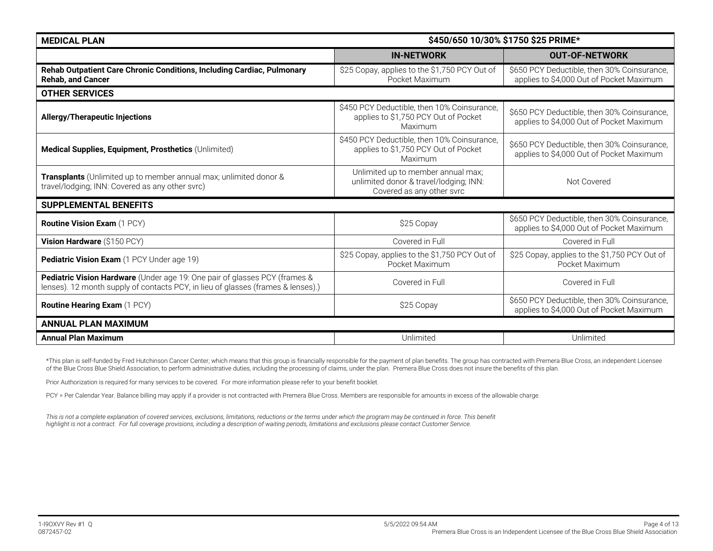| <b>MEDICAL PLAN</b>                                                                                                                                            | \$450/650 10/30% \$1750 \$25 PRIME*                                                                       |                                                                                         |
|----------------------------------------------------------------------------------------------------------------------------------------------------------------|-----------------------------------------------------------------------------------------------------------|-----------------------------------------------------------------------------------------|
|                                                                                                                                                                | <b>IN-NETWORK</b>                                                                                         | <b>OUT-OF-NETWORK</b>                                                                   |
| Rehab Outpatient Care Chronic Conditions, Including Cardiac, Pulmonary<br><b>Rehab, and Cancer</b>                                                             | \$25 Copay, applies to the \$1,750 PCY Out of<br>Pocket Maximum                                           | \$650 PCY Deductible, then 30% Coinsurance,<br>applies to \$4,000 Out of Pocket Maximum |
| <b>OTHER SERVICES</b>                                                                                                                                          |                                                                                                           |                                                                                         |
| <b>Allergy/Therapeutic Injections</b>                                                                                                                          | \$450 PCY Deductible, then 10% Coinsurance,<br>applies to \$1,750 PCY Out of Pocket<br>Maximum            | \$650 PCY Deductible, then 30% Coinsurance,<br>applies to \$4,000 Out of Pocket Maximum |
| Medical Supplies, Equipment, Prosthetics (Unlimited)                                                                                                           | \$450 PCY Deductible, then 10% Coinsurance,<br>applies to \$1,750 PCY Out of Pocket<br>Maximum            | \$650 PCY Deductible, then 30% Coinsurance,<br>applies to \$4,000 Out of Pocket Maximum |
| Transplants (Unlimited up to member annual max; unlimited donor &<br>travel/lodging; INN: Covered as any other svrc)                                           | Unlimited up to member annual max;<br>unlimited donor & travel/lodging; INN:<br>Covered as any other svrc | Not Covered                                                                             |
| <b>SUPPLEMENTAL BENEFITS</b>                                                                                                                                   |                                                                                                           |                                                                                         |
| <b>Routine Vision Exam (1 PCY)</b>                                                                                                                             | \$25 Copay                                                                                                | \$650 PCY Deductible, then 30% Coinsurance,<br>applies to \$4,000 Out of Pocket Maximum |
| Vision Hardware (\$150 PCY)                                                                                                                                    | Covered in Full                                                                                           | Covered in Full                                                                         |
| Pediatric Vision Exam (1 PCY Under age 19)                                                                                                                     | \$25 Copay, applies to the \$1,750 PCY Out of<br>Pocket Maximum                                           | \$25 Copay, applies to the \$1,750 PCY Out of<br>Pocket Maximum                         |
| Pediatric Vision Hardware (Under age 19: One pair of glasses PCY (frames &<br>lenses). 12 month supply of contacts PCY, in lieu of glasses (frames & lenses).) | Covered in Full                                                                                           | Covered in Full                                                                         |
| <b>Routine Hearing Exam (1 PCY)</b>                                                                                                                            | \$25 Copay                                                                                                | \$650 PCY Deductible, then 30% Coinsurance,<br>applies to \$4,000 Out of Pocket Maximum |
| <b>ANNUAL PLAN MAXIMUM</b>                                                                                                                                     |                                                                                                           |                                                                                         |
| <b>Annual Plan Maximum</b>                                                                                                                                     | Unlimited                                                                                                 | Unlimited                                                                               |

\*This plan is self-funded by Fred Hutchinson Cancer Center, which means that this group is financially responsible for the payment of plan benefits. The group has contracted with Premera Blue Cross, an independent Licensee of the Blue Cross Blue Shield Association, to perform administrative duties, including the processing of claims, under the plan. Premera Blue Cross does not insure the benefits of this plan.

Prior Authorization is required for many services to be covered. For more information please refer to your benefit booklet.

PCY = Per Calendar Year. Balance billing may apply if a provider is not contracted with Premera Blue Cross. Members are responsible for amounts in excess of the allowable charge.

This is not a complete explanation of covered services, exclusions, limitations, reductions or the terms under which the program may be continued in force. This benefit *highlight is not a contract. For full coverage provisions, including a description of waiting periods, limitations and exclusions please contact Customer Service.*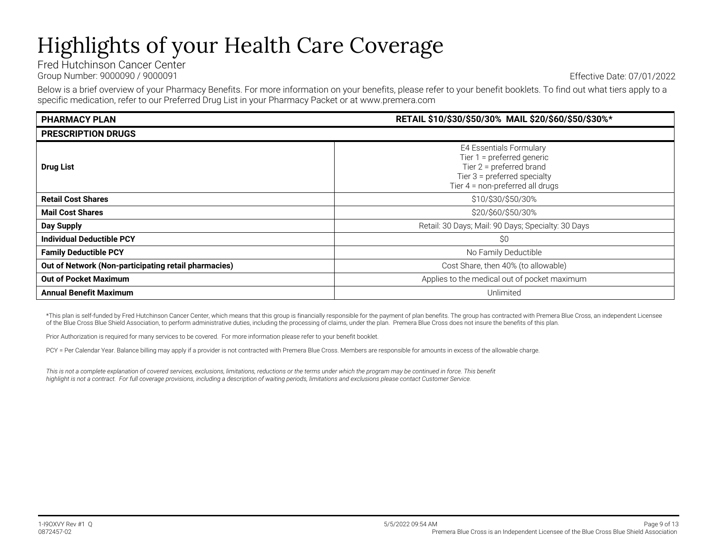# Highlights of your Health Care Coverage

Fred Hutchinson Cancer Center Group Number: 9000090 / 9000091 Effective Date: 07/01/2022

Below is a brief overview of your Pharmacy Benefits. For more information on your benefits, please refer to your benefit booklets. To find out what tiers apply to a specific medication, refer to our Preferred Drug List in your Pharmacy Packet or at www.premera.com

| <b>PHARMACY PLAN</b>                                 | RETAIL \$10/\$30/\$50/30% MAIL \$20/\$60/\$50/\$30%*                                                                                                               |  |  |
|------------------------------------------------------|--------------------------------------------------------------------------------------------------------------------------------------------------------------------|--|--|
| <b>PRESCRIPTION DRUGS</b>                            |                                                                                                                                                                    |  |  |
| <b>Drug List</b>                                     | <b>E4 Essentials Formulary</b><br>Tier $1 =$ preferred generic<br>Tier $2$ = preferred brand<br>Tier $3$ = preferred specialty<br>Tier 4 = non-preferred all drugs |  |  |
| <b>Retail Cost Shares</b>                            | \$10/\$30/\$50/30%                                                                                                                                                 |  |  |
| <b>Mail Cost Shares</b>                              | \$20/\$60/\$50/30%                                                                                                                                                 |  |  |
| <b>Day Supply</b>                                    | Retail: 30 Days; Mail: 90 Days; Specialty: 30 Days                                                                                                                 |  |  |
| <b>Individual Deductible PCY</b>                     | \$0                                                                                                                                                                |  |  |
| <b>Family Deductible PCY</b>                         | No Family Deductible                                                                                                                                               |  |  |
| Out of Network (Non-participating retail pharmacies) | Cost Share, then 40% (to allowable)                                                                                                                                |  |  |
| <b>Out of Pocket Maximum</b>                         | Applies to the medical out of pocket maximum                                                                                                                       |  |  |
| <b>Annual Benefit Maximum</b>                        | Unlimited                                                                                                                                                          |  |  |

\*This plan is self-funded by Fred Hutchinson Cancer Center, which means that this group is financially responsible for the payment of plan benefits. The group has contracted with Premera Blue Cross, an independent Licensee of the Blue Cross Blue Shield Association, to perform administrative duties, including the processing of claims, under the plan. Premera Blue Cross does not insure the benefits of this plan.

Prior Authorization is required for many services to be covered. For more information please refer to your benefit booklet.

PCY = Per Calendar Year. Balance billing may apply if a provider is not contracted with Premera Blue Cross. Members are responsible for amounts in excess of the allowable charge.

This is not a complete explanation of covered services, exclusions, limitations, reductions or the terms under which the program may be continued in force. This benefit *highlight is not a contract. For full coverage provisions, including a description of waiting periods, limitations and exclusions please contact Customer Service.*